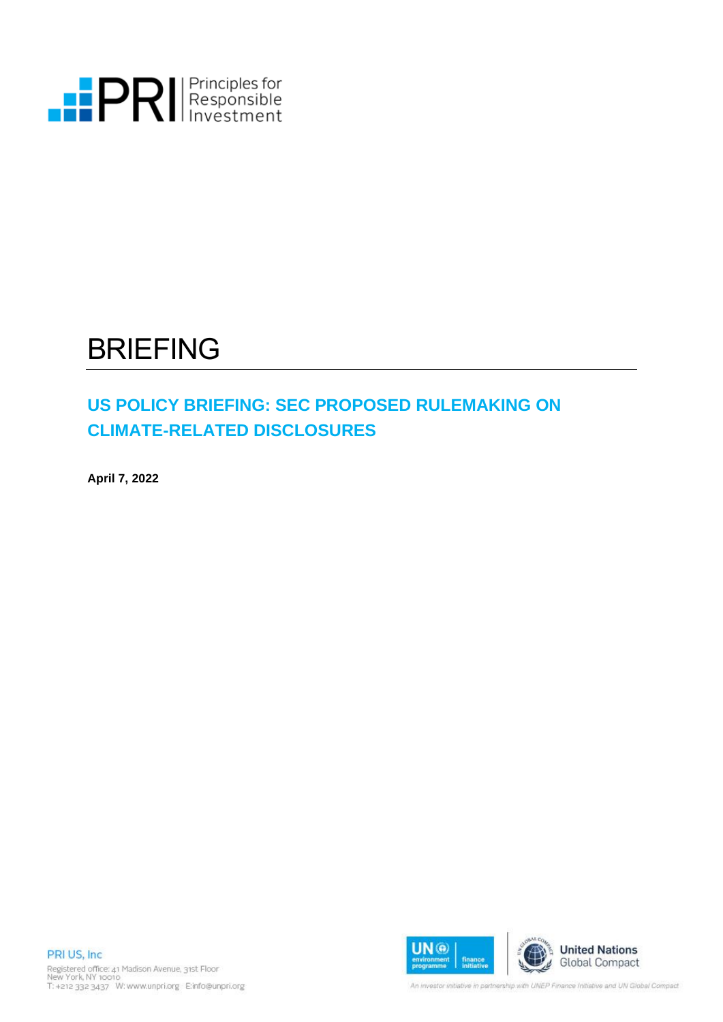

# BRIEFING

# **US POLICY BRIEFING: SEC PROPOSED RULEMAKING ON CLIMATE-RELATED DISCLOSURES**

**April 7, 2022** 





An investor initiative in partnership with UNEP Finance Initiative and UN Global Compact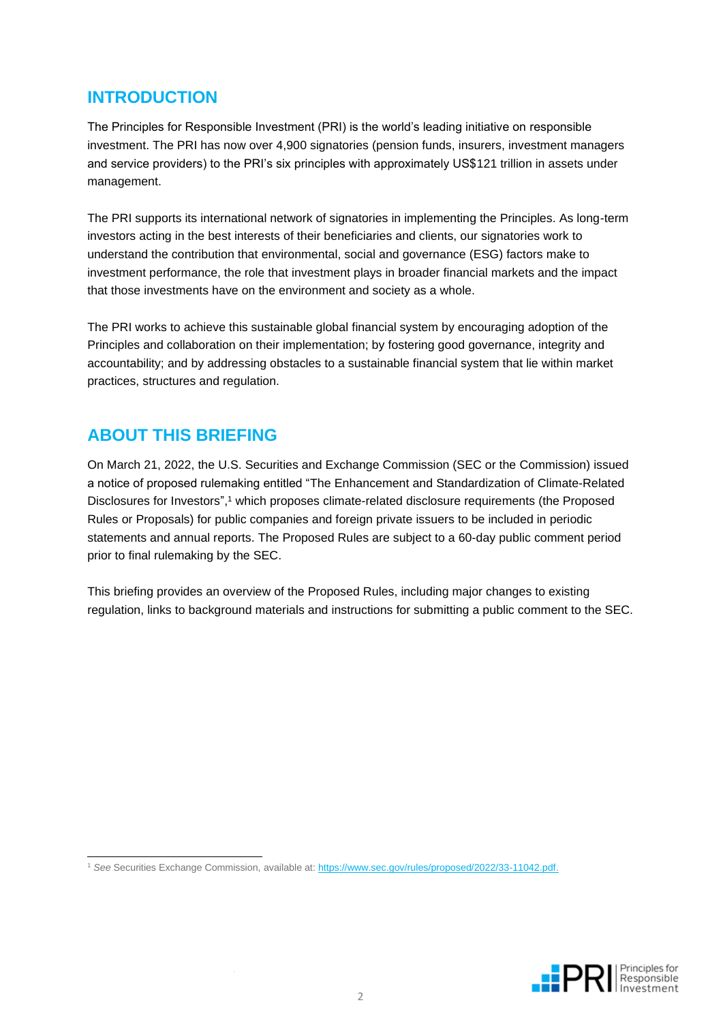# **INTRODUCTION**

The Principles for Responsible Investment (PRI) is the world's leading initiative on responsible investment. The PRI has now over 4,900 signatories (pension funds, insurers, investment managers and service providers) to the PRI's six principles with approximately US\$121 trillion in assets under management.

The PRI supports its international network of signatories in implementing the Principles. As long-term investors acting in the best interests of their beneficiaries and clients, our signatories work to understand the contribution that environmental, social and governance (ESG) factors make to investment performance, the role that investment plays in broader financial markets and the impact that those investments have on the environment and society as a whole.

The PRI works to achieve this sustainable global financial system by encouraging adoption of the Principles and collaboration on their implementation; by fostering good governance, integrity and accountability; and by addressing obstacles to a sustainable financial system that lie within market practices, structures and regulation.

# **ABOUT THIS BRIEFING**

On March 21, 2022, the U.S. Securities and Exchange Commission (SEC or the Commission) issued a notice of proposed rulemaking entitled "The Enhancement and Standardization of Climate-Related Disclosures for Investors", <sup>1</sup> which proposes climate-related disclosure requirements (the Proposed Rules or Proposals) for public companies and foreign private issuers to be included in periodic statements and annual reports. The Proposed Rules are subject to a 60-day public comment period prior to final rulemaking by the SEC.

This briefing provides an overview of the Proposed Rules, including major changes to existing regulation, links to background materials and instructions for submitting a public comment to the SEC.

<sup>1</sup> See Securities Exchange Commission, available at: [https://www.sec.gov/rules/proposed/2022/33-11042.pdf.](https://www.sec.gov/rules/proposed/2022/33-11042.pdf)

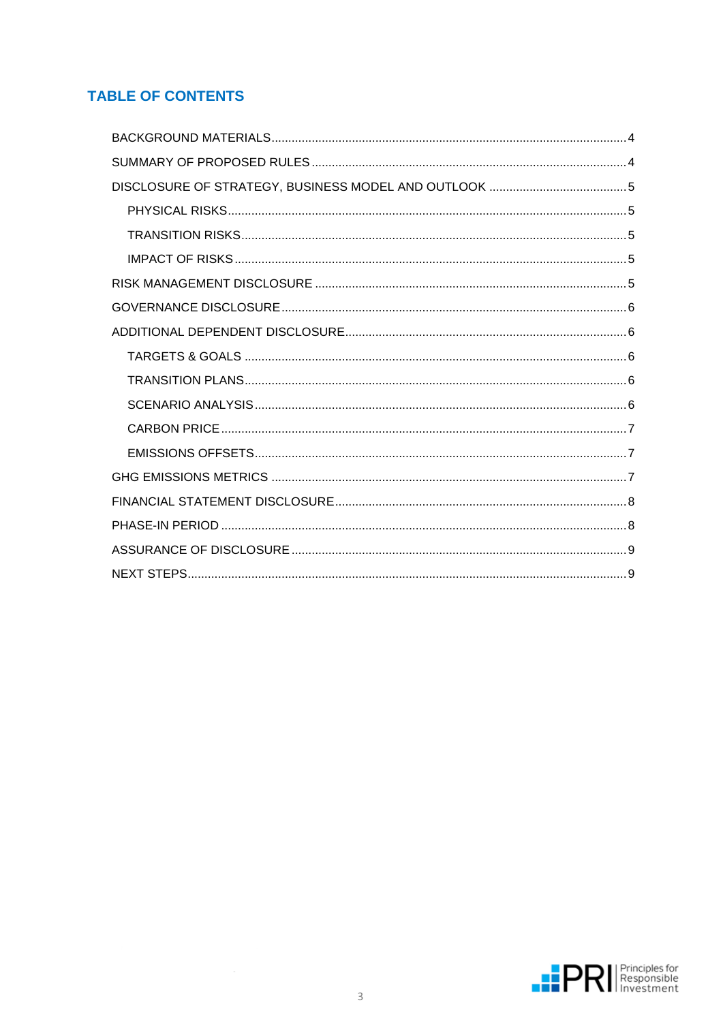# **TABLE OF CONTENTS**

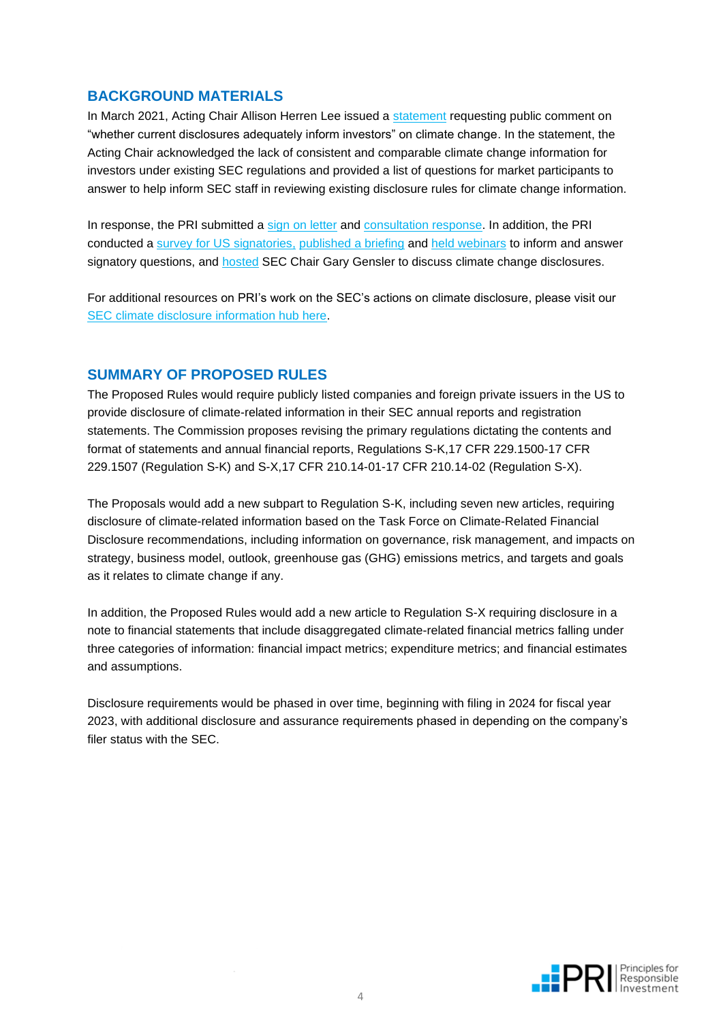# <span id="page-3-0"></span>**BACKGROUND MATERIALS**

In March 2021, Acting Chair Allison Herren Lee issued a [statement](https://www.sec.gov/news/public-statement/lee-climate-change-disclosures) requesting public comment on "whether current disclosures adequately inform investors" on climate change. In the statement, the Acting Chair acknowledged the lack of consistent and comparable climate change information for investors under existing SEC regulations and provided a list of questions for market participants to answer to help inform SEC staff in reviewing existing disclosure rules for climate change information.

In response, the PRI submitted a [sign on letter](https://www.sec.gov/comments/climate-disclosure/cll12-8906882-244194.pdf) and [consultation response.](https://www.sec.gov/comments/climate-disclosure/cll12-8906878-244193.pdf) In addition, the PRI conducted a [survey for US signatories,](https://www.unpri.org/pri-blog/us-pri-signatories-support-mandatory-climate-and-esg-disclosure/7849.article) [published a briefing](https://dwtyzx6upklss.cloudfront.net/Uploads/b/r/n/uspolicybriefing_secclimatedisclosurecomment_314113.pdf) and [held webinars](https://www.brighttalk.com/webcast/17701/481353?utm_source=brighttalk-portal&utm_medium=web&utm_content=sec%20climate%20disclosure%20the%20pri&utm_term=search-result-1&utm_campaign=webcasts-search-results-feed) to inform and answer signatory questions, and [hosted](https://www.brighttalk.com/webcast/17701/498753?utm_source=brighttalk-portal&utm_medium=web&utm_content=sec%20climate%20disclosure%20the%20pri&utm_term=search-result-2&utm_campaign=webcasts-search-results-feed) SEC Chair Gary Gensler to discuss climate change disclosures.

For additional resources on PRI's work on the SEC's actions on climate disclosure, please visit our [SEC climate disclosure information hub here.](https://www.unpri.org/policy/sec-climate-disclosure)

# <span id="page-3-1"></span>**SUMMARY OF PROPOSED RULES**

The Proposed Rules would require publicly listed companies and foreign private issuers in the US to provide disclosure of climate-related information in their SEC annual reports and registration statements. The Commission proposes revising the primary regulations dictating the contents and format of statements and annual financial reports, Regulations S-K,17 CFR 229.1500-17 CFR 229.1507 (Regulation S-K) and S-X,17 CFR 210.14-01-17 CFR 210.14-02 (Regulation S-X).

The Proposals would add a new subpart to Regulation S-K, including seven new articles, requiring disclosure of climate-related information based on the Task Force on Climate-Related Financial Disclosure recommendations, including information on governance, risk management, and impacts on strategy, business model, outlook, greenhouse gas (GHG) emissions metrics, and targets and goals as it relates to climate change if any.

In addition, the Proposed Rules would add a new article to Regulation S-X requiring disclosure in a note to financial statements that include disaggregated climate-related financial metrics falling under three categories of information: financial impact metrics; expenditure metrics; and financial estimates and assumptions.

Disclosure requirements would be phased in over time, beginning with filing in 2024 for fiscal year 2023, with additional disclosure and assurance requirements phased in depending on the company's filer status with the SEC.

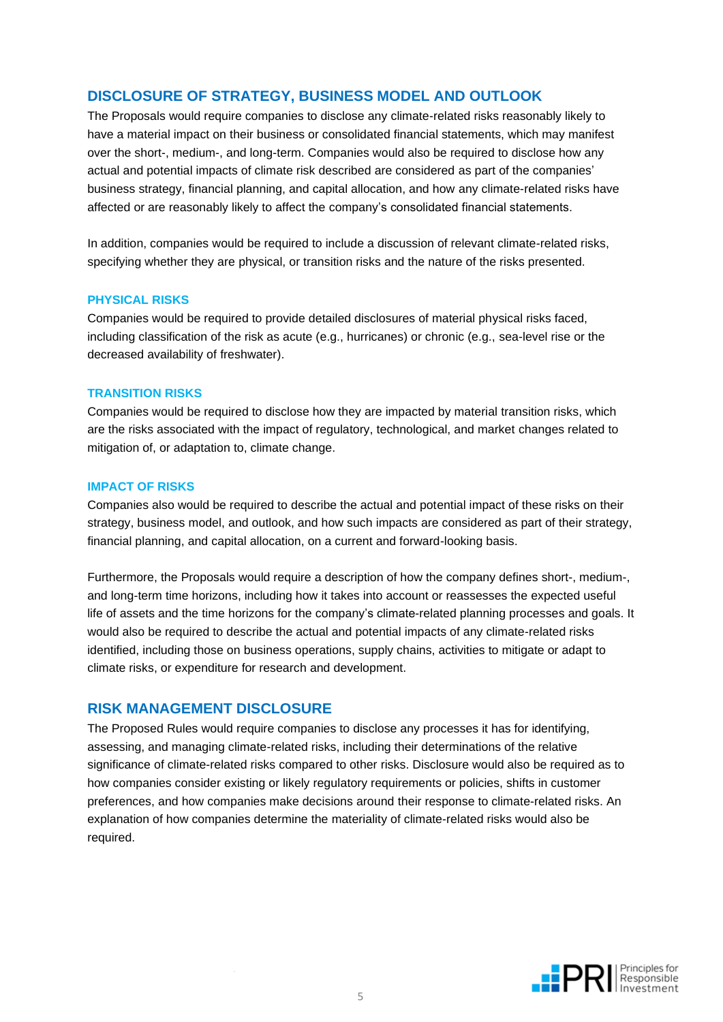# <span id="page-4-0"></span>**DISCLOSURE OF STRATEGY, BUSINESS MODEL AND OUTLOOK**

The Proposals would require companies to disclose any climate-related risks reasonably likely to have a material impact on their business or consolidated financial statements, which may manifest over the short-, medium-, and long-term. Companies would also be required to disclose how any actual and potential impacts of climate risk described are considered as part of the companies' business strategy, financial planning, and capital allocation, and how any climate-related risks have affected or are reasonably likely to affect the company's consolidated financial statements.

In addition, companies would be required to include a discussion of relevant climate-related risks, specifying whether they are physical, or transition risks and the nature of the risks presented.

#### <span id="page-4-1"></span>**PHYSICAL RISKS**

Companies would be required to provide detailed disclosures of material physical risks faced, including classification of the risk as acute (e.g., hurricanes) or chronic (e.g., sea-level rise or the decreased availability of freshwater).

#### <span id="page-4-2"></span>**TRANSITION RISKS**

Companies would be required to disclose how they are impacted by material transition risks, which are the risks associated with the impact of regulatory, technological, and market changes related to mitigation of, or adaptation to, climate change.

#### <span id="page-4-3"></span>**IMPACT OF RISKS**

Companies also would be required to describe the actual and potential impact of these risks on their strategy, business model, and outlook, and how such impacts are considered as part of their strategy, financial planning, and capital allocation, on a current and forward-looking basis.

Furthermore, the Proposals would require a description of how the company defines short-, medium-, and long-term time horizons, including how it takes into account or reassesses the expected useful life of assets and the time horizons for the company's climate-related planning processes and goals. It would also be required to describe the actual and potential impacts of any climate-related risks identified, including those on business operations, supply chains, activities to mitigate or adapt to climate risks, or expenditure for research and development.

#### <span id="page-4-4"></span>**RISK MANAGEMENT DISCLOSURE**

The Proposed Rules would require companies to disclose any processes it has for identifying, assessing, and managing climate-related risks, including their determinations of the relative significance of climate-related risks compared to other risks. Disclosure would also be required as to how companies consider existing or likely regulatory requirements or policies, shifts in customer preferences, and how companies make decisions around their response to climate-related risks. An explanation of how companies determine the materiality of climate-related risks would also be required.

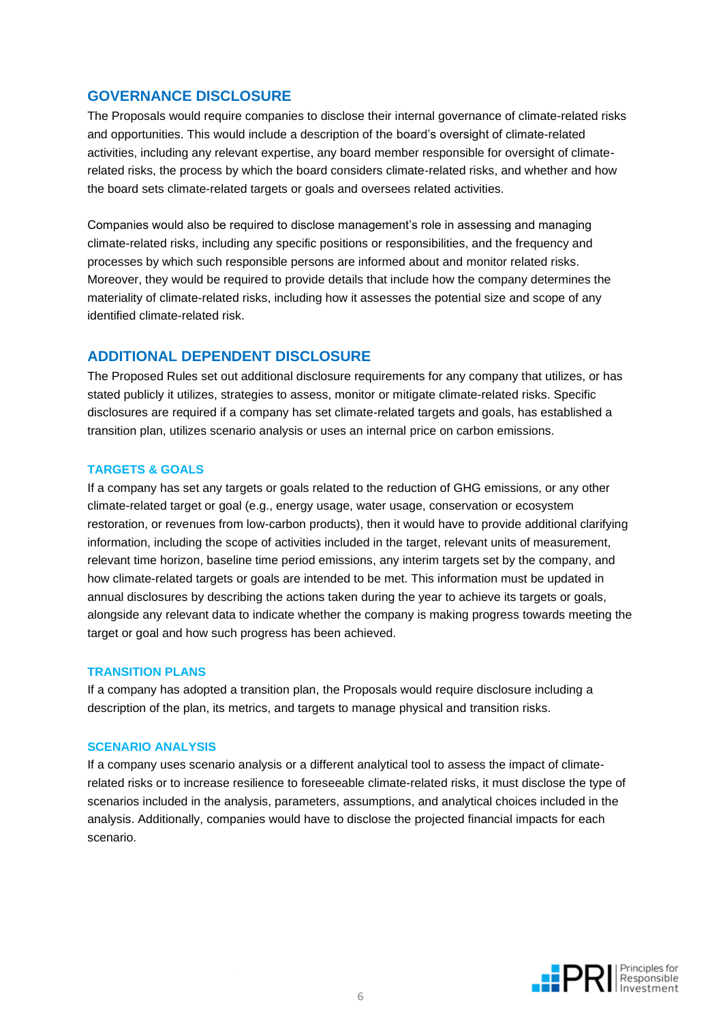## <span id="page-5-0"></span>**GOVERNANCE DISCLOSURE**

The Proposals would require companies to disclose their internal governance of climate-related risks and opportunities. This would include a description of the board's oversight of climate-related activities, including any relevant expertise, any board member responsible for oversight of climaterelated risks, the process by which the board considers climate-related risks, and whether and how the board sets climate-related targets or goals and oversees related activities.

Companies would also be required to disclose management's role in assessing and managing climate-related risks, including any specific positions or responsibilities, and the frequency and processes by which such responsible persons are informed about and monitor related risks. Moreover, they would be required to provide details that include how the company determines the materiality of climate-related risks, including how it assesses the potential size and scope of any identified climate-related risk.

### <span id="page-5-1"></span>**ADDITIONAL DEPENDENT DISCLOSURE**

The Proposed Rules set out additional disclosure requirements for any company that utilizes, or has stated publicly it utilizes, strategies to assess, monitor or mitigate climate-related risks. Specific disclosures are required if a company has set climate-related targets and goals, has established a transition plan, utilizes scenario analysis or uses an internal price on carbon emissions.

#### <span id="page-5-2"></span>**TARGETS & GOALS**

If a company has set any targets or goals related to the reduction of GHG emissions, or any other climate-related target or goal (e.g., energy usage, water usage, conservation or ecosystem restoration, or revenues from low-carbon products), then it would have to provide additional clarifying information, including the scope of activities included in the target, relevant units of measurement, relevant time horizon, baseline time period emissions, any interim targets set by the company, and how climate-related targets or goals are intended to be met. This information must be updated in annual disclosures by describing the actions taken during the year to achieve its targets or goals, alongside any relevant data to indicate whether the company is making progress towards meeting the target or goal and how such progress has been achieved.

#### <span id="page-5-3"></span>**TRANSITION PLANS**

If a company has adopted a transition plan, the Proposals would require disclosure including a description of the plan, its metrics, and targets to manage physical and transition risks.

#### <span id="page-5-4"></span>**SCENARIO ANALYSIS**

If a company uses scenario analysis or a different analytical tool to assess the impact of climaterelated risks or to increase resilience to foreseeable climate-related risks, it must disclose the type of scenarios included in the analysis, parameters, assumptions, and analytical choices included in the analysis. Additionally, companies would have to disclose the projected financial impacts for each scenario.

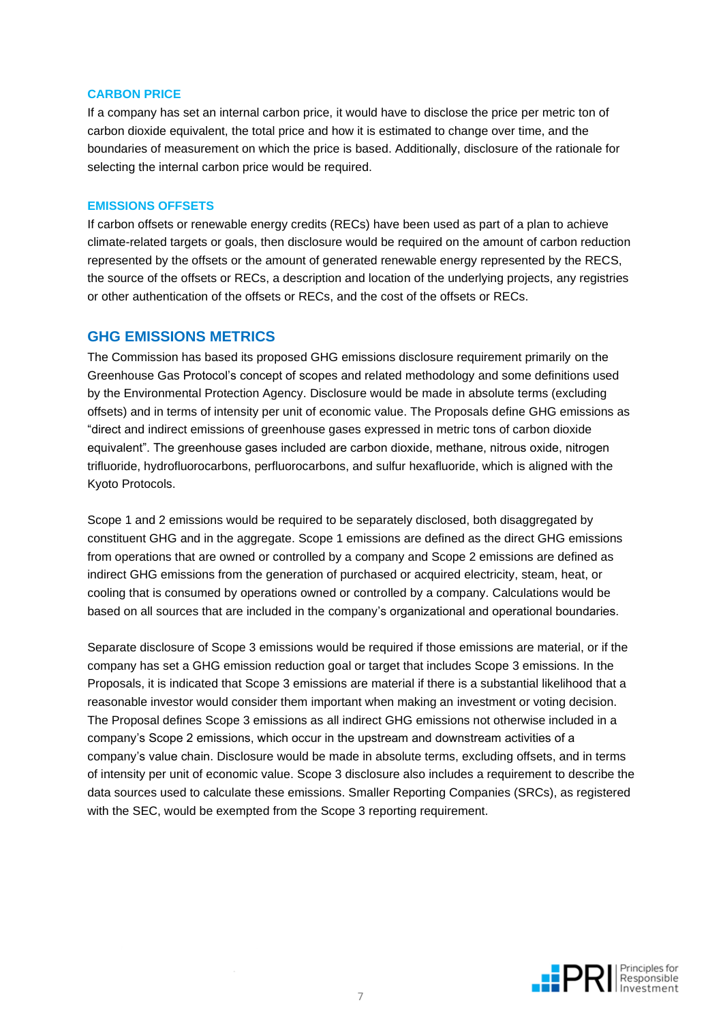#### <span id="page-6-0"></span>**CARBON PRICE**

If a company has set an internal carbon price, it would have to disclose the price per metric ton of carbon dioxide equivalent, the total price and how it is estimated to change over time, and the boundaries of measurement on which the price is based. Additionally, disclosure of the rationale for selecting the internal carbon price would be required.

#### <span id="page-6-1"></span>**EMISSIONS OFFSETS**

If carbon offsets or renewable energy credits (RECs) have been used as part of a plan to achieve climate-related targets or goals, then disclosure would be required on the amount of carbon reduction represented by the offsets or the amount of generated renewable energy represented by the RECS, the source of the offsets or RECs, a description and location of the underlying projects, any registries or other authentication of the offsets or RECs, and the cost of the offsets or RECs.

#### <span id="page-6-2"></span>**GHG EMISSIONS METRICS**

The Commission has based its proposed GHG emissions disclosure requirement primarily on the Greenhouse Gas Protocol's concept of scopes and related methodology and some definitions used by the Environmental Protection Agency. Disclosure would be made in absolute terms (excluding offsets) and in terms of intensity per unit of economic value. The Proposals define GHG emissions as "direct and indirect emissions of greenhouse gases expressed in metric tons of carbon dioxide equivalent". The greenhouse gases included are carbon dioxide, methane, nitrous oxide, nitrogen trifluoride, hydrofluorocarbons, perfluorocarbons, and sulfur hexafluoride, which is aligned with the Kyoto Protocols.

Scope 1 and 2 emissions would be required to be separately disclosed, both disaggregated by constituent GHG and in the aggregate. Scope 1 emissions are defined as the direct GHG emissions from operations that are owned or controlled by a company and Scope 2 emissions are defined as indirect GHG emissions from the generation of purchased or acquired electricity, steam, heat, or cooling that is consumed by operations owned or controlled by a company. Calculations would be based on all sources that are included in the company's organizational and operational boundaries.

Separate disclosure of Scope 3 emissions would be required if those emissions are material, or if the company has set a GHG emission reduction goal or target that includes Scope 3 emissions. In the Proposals, it is indicated that Scope 3 emissions are material if there is a substantial likelihood that a reasonable investor would consider them important when making an investment or voting decision. The Proposal defines Scope 3 emissions as all indirect GHG emissions not otherwise included in a company's Scope 2 emissions, which occur in the upstream and downstream activities of a company's value chain. Disclosure would be made in absolute terms, excluding offsets, and in terms of intensity per unit of economic value. Scope 3 disclosure also includes a requirement to describe the data sources used to calculate these emissions. Smaller Reporting Companies (SRCs), as registered with the SEC, would be exempted from the Scope 3 reporting requirement.

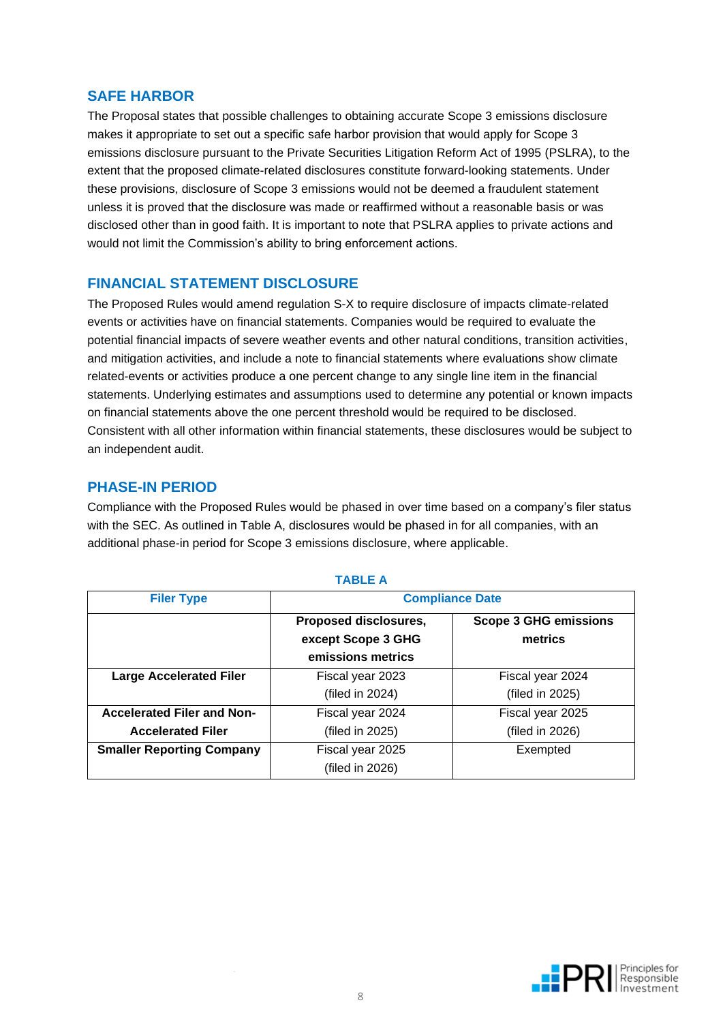## **SAFE HARBOR**

The Proposal states that possible challenges to obtaining accurate Scope 3 emissions disclosure makes it appropriate to set out a specific safe harbor provision that would apply for Scope 3 emissions disclosure pursuant to the Private Securities Litigation Reform Act of 1995 (PSLRA), to the extent that the proposed climate-related disclosures constitute forward-looking statements. Under these provisions, disclosure of Scope 3 emissions would not be deemed a fraudulent statement unless it is proved that the disclosure was made or reaffirmed without a reasonable basis or was disclosed other than in good faith. It is important to note that PSLRA applies to private actions and would not limit the Commission's ability to bring enforcement actions.

## <span id="page-7-0"></span>**FINANCIAL STATEMENT DISCLOSURE**

The Proposed Rules would amend regulation S-X to require disclosure of impacts climate-related events or activities have on financial statements. Companies would be required to evaluate the potential financial impacts of severe weather events and other natural conditions, transition activities, and mitigation activities, and include a note to financial statements where evaluations show climate related-events or activities produce a one percent change to any single line item in the financial statements. Underlying estimates and assumptions used to determine any potential or known impacts on financial statements above the one percent threshold would be required to be disclosed. Consistent with all other information within financial statements, these disclosures would be subject to an independent audit.

## <span id="page-7-1"></span>**PHASE-IN PERIOD**

Compliance with the Proposed Rules would be phased in over time based on a company's filer status with the SEC. As outlined in Table A, disclosures would be phased in for all companies, with an additional phase-in period for Scope 3 emissions disclosure, where applicable.

| <b>Filer Type</b>                 | <b>Compliance Date</b>                                           |                                         |  |
|-----------------------------------|------------------------------------------------------------------|-----------------------------------------|--|
|                                   | Proposed disclosures,<br>except Scope 3 GHG<br>emissions metrics | <b>Scope 3 GHG emissions</b><br>metrics |  |
| <b>Large Accelerated Filer</b>    | Fiscal year 2023                                                 | Fiscal year 2024                        |  |
|                                   | (filed in 2024)                                                  | (filed in 2025)                         |  |
| <b>Accelerated Filer and Non-</b> | Fiscal year 2024                                                 | Fiscal year 2025                        |  |
| <b>Accelerated Filer</b>          | (filed in 2025)                                                  | (filed in 2026)                         |  |
| <b>Smaller Reporting Company</b>  | Fiscal year 2025                                                 | Exempted                                |  |
|                                   | (filed in 2026)                                                  |                                         |  |

#### **TABLE A**